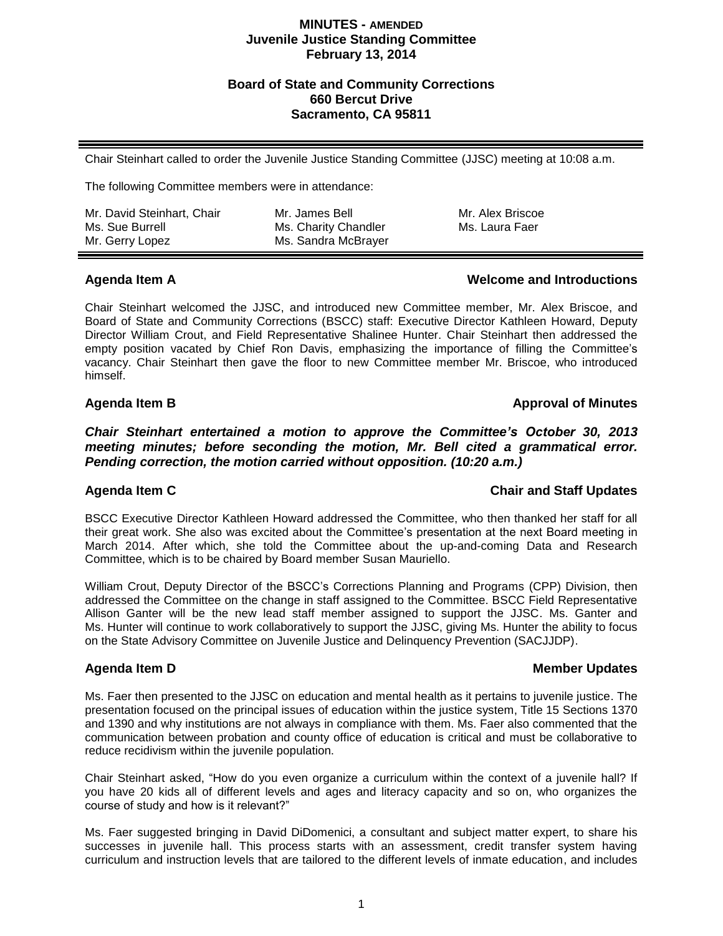### **MINUTES - AMENDED Juvenile Justice Standing Committee February 13, 2014**

## **Board of State and Community Corrections 660 Bercut Drive Sacramento, CA 95811**

Chair Steinhart called to order the Juvenile Justice Standing Committee (JJSC) meeting at 10:08 a.m.

The following Committee members were in attendance:

Mr. David Steinhart, Chair Ms. Sue Burrell Mr. Gerry Lopez

Mr. James Bell Ms. Charity Chandler Ms. Sandra McBrayer Mr. Alex Briscoe Ms. Laura Faer

# **Agenda Item A Welcome and Introductions**

Chair Steinhart welcomed the JJSC, and introduced new Committee member, Mr. Alex Briscoe, and Board of State and Community Corrections (BSCC) staff: Executive Director Kathleen Howard, Deputy Director William Crout, and Field Representative Shalinee Hunter. Chair Steinhart then addressed the empty position vacated by Chief Ron Davis, emphasizing the importance of filling the Committee's vacancy. Chair Steinhart then gave the floor to new Committee member Mr. Briscoe, who introduced himself.

# **Agenda Item B Approval of Minutes**

*Chair Steinhart entertained a motion to approve the Committee's October 30, 2013 meeting minutes; before seconding the motion, Mr. Bell cited a grammatical error. Pending correction, the motion carried without opposition. (10:20 a.m.)*

## **Agenda Item C Chair and Staff Updates**

BSCC Executive Director Kathleen Howard addressed the Committee, who then thanked her staff for all their great work. She also was excited about the Committee's presentation at the next Board meeting in March 2014. After which, she told the Committee about the up-and-coming Data and Research Committee, which is to be chaired by Board member Susan Mauriello.

William Crout, Deputy Director of the BSCC's Corrections Planning and Programs (CPP) Division, then addressed the Committee on the change in staff assigned to the Committee. BSCC Field Representative Allison Ganter will be the new lead staff member assigned to support the JJSC. Ms. Ganter and Ms. Hunter will continue to work collaboratively to support the JJSC, giving Ms. Hunter the ability to focus on the State Advisory Committee on Juvenile Justice and Delinquency Prevention (SACJJDP).

# **Agenda Item D Member Updates**

Ms. Faer then presented to the JJSC on education and mental health as it pertains to juvenile justice. The presentation focused on the principal issues of education within the justice system, Title 15 Sections 1370 and 1390 and why institutions are not always in compliance with them. Ms. Faer also commented that the communication between probation and county office of education is critical and must be collaborative to reduce recidivism within the juvenile population.

Chair Steinhart asked, "How do you even organize a curriculum within the context of a juvenile hall? If you have 20 kids all of different levels and ages and literacy capacity and so on, who organizes the course of study and how is it relevant?"

Ms. Faer suggested bringing in David DiDomenici, a consultant and subject matter expert, to share his successes in juvenile hall. This process starts with an assessment, credit transfer system having curriculum and instruction levels that are tailored to the different levels of inmate education, and includes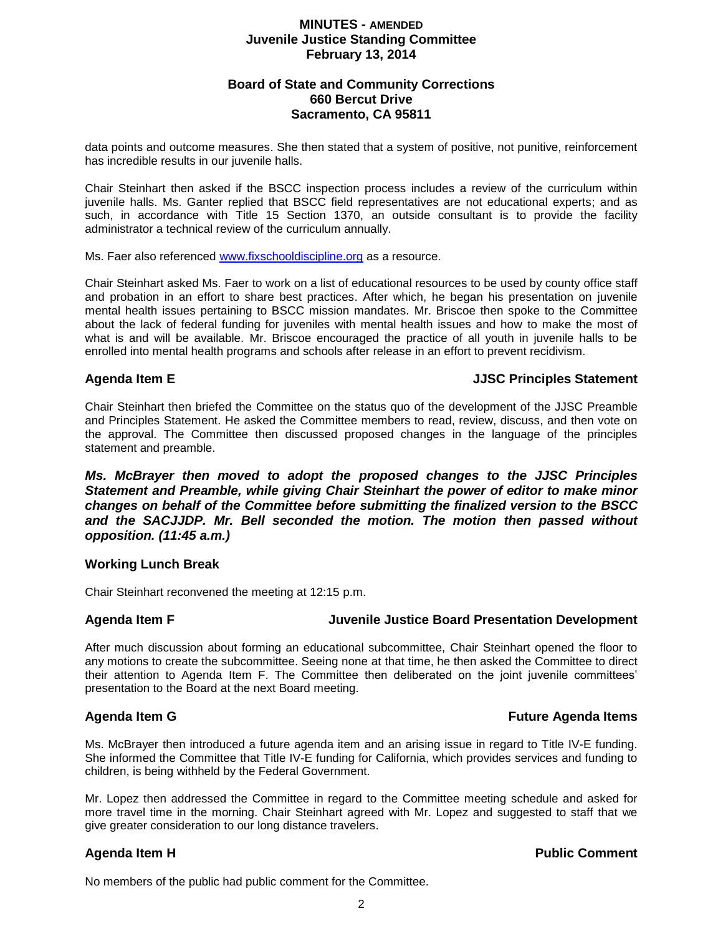## **MINUTES - AMENDED Juvenile Justice Standing Committee February 13, 2014**

## **Board of State and Community Corrections 660 Bercut Drive Sacramento, CA 95811**

data points and outcome measures. She then stated that a system of positive, not punitive, reinforcement has incredible results in our juvenile halls.

Chair Steinhart then asked if the BSCC inspection process includes a review of the curriculum within juvenile halls. Ms. Ganter replied that BSCC field representatives are not educational experts; and as such, in accordance with Title 15 Section 1370, an outside consultant is to provide the facility administrator a technical review of the curriculum annually.

Ms. Faer also referenced [www.fixschooldiscipline.org](http://www.fixschooldiscipline.org/) as a resource.

Chair Steinhart asked Ms. Faer to work on a list of educational resources to be used by county office staff and probation in an effort to share best practices. After which, he began his presentation on juvenile mental health issues pertaining to BSCC mission mandates. Mr. Briscoe then spoke to the Committee about the lack of federal funding for juveniles with mental health issues and how to make the most of what is and will be available. Mr. Briscoe encouraged the practice of all youth in juvenile halls to be enrolled into mental health programs and schools after release in an effort to prevent recidivism.

## **Agenda Item E JJSC Principles Statement**

Chair Steinhart then briefed the Committee on the status quo of the development of the JJSC Preamble and Principles Statement. He asked the Committee members to read, review, discuss, and then vote on the approval. The Committee then discussed proposed changes in the language of the principles statement and preamble.

*Ms. McBrayer then moved to adopt the proposed changes to the JJSC Principles Statement and Preamble, while giving Chair Steinhart the power of editor to make minor changes on behalf of the Committee before submitting the finalized version to the BSCC and the SACJJDP. Mr. Bell seconded the motion. The motion then passed without opposition. (11:45 a.m.)*

### **Working Lunch Break**

Chair Steinhart reconvened the meeting at 12:15 p.m.

## **Agenda Item F Juvenile Justice Board Presentation Development**

After much discussion about forming an educational subcommittee, Chair Steinhart opened the floor to any motions to create the subcommittee. Seeing none at that time, he then asked the Committee to direct their attention to Agenda Item F. The Committee then deliberated on the joint juvenile committees' presentation to the Board at the next Board meeting.

## **Agenda Item G Future Agenda Items**

Ms. McBrayer then introduced a future agenda item and an arising issue in regard to Title IV-E funding. She informed the Committee that Title IV-E funding for California, which provides services and funding to children, is being withheld by the Federal Government.

Mr. Lopez then addressed the Committee in regard to the Committee meeting schedule and asked for more travel time in the morning. Chair Steinhart agreed with Mr. Lopez and suggested to staff that we give greater consideration to our long distance travelers.

## **Agenda Item H Public Comment**

No members of the public had public comment for the Committee.